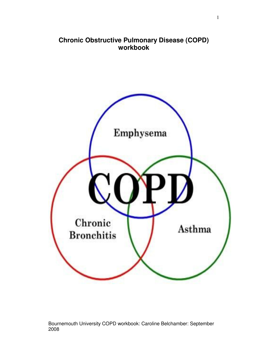# **Chronic Obstructive Pulmonary Disease (COPD) workbook**

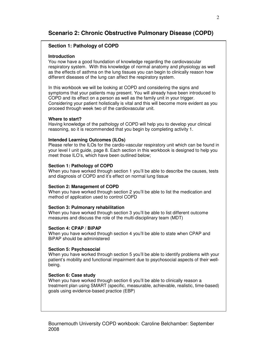# **Scenario 2: Chronic Obstructive Pulmonary Disease (COPD)**

# **Section 1: Pathology of COPD**

#### **Introduction**

You now have a good foundation of knowledge regarding the cardiovascular respiratory system. With this knowledge of normal anatomy and physiology as well as the effects of asthma on the lung tissues you can begin to clinically reason how different diseases of the lung can affect the respiratory system.

In this workbook we will be looking at COPD and considering the signs and symptoms that your patients may present. You will already have been introduced to COPD and its effect on a person as well as the family unit in your trigger. Considering your patient holistically is vital and this will become more evident as you proceed through week two of the cardiovascular unit.

### **Where to start?**

Having knowledge of the pathology of COPD will help you to develop your clinical reasoning, so it is recommended that you begin by completing activity 1.

#### **Intended Learning Outcomes (ILOs)**

Please refer to the ILOs for the cardio-vascular respiratory unit which can be found in your level I unit guide, page 8. Each section in this workbook is designed to help you meet those ILO's, which have been outlined below;

#### **Section 1: Pathology of COPD**

When you have worked through section 1 you'll be able to describe the causes, tests and diagnosis of COPD and it's effect on normal lung tissue

#### **Section 2: Management of COPD**

When you have worked through section 2 you'll be able to list the medication and method of application used to control COPD

#### **Section 3: Pulmonary rehabilitation**

When you have worked through section 3 you'll be able to list different outcome measures and discuss the role of the multi-disciplinary team (MDT)

#### **Section 4: CPAP / BiPAP**

When you have worked through section 4 you'll be able to state when CPAP and BiPAP should be administered

#### **Section 5: Psychosocial**

When you have worked through section 5 you'll be able to identify problems with your patient's mobility and functional impairment due to psychosocial aspects of their wellbeing.

#### **Section 6: Case study**

When you have worked through section 6 you'll be able to clinically reason a treatment plan using SMART (specific, measurable, achievable, realistic, time-based) goals using evidence-based practice (EBP)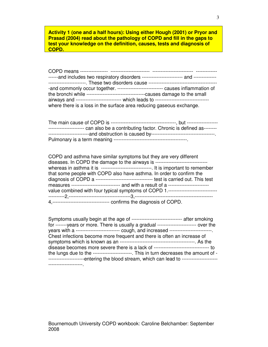**Activity 1 (one and a half hours): Using either Hough (2001) or Pryor and Prasad (2004) read about the pathology of COPD and fill in the gaps to test your knowledge on the definition, causes, tests and diagnosis of COPD.** 

| -----------------------. These two disorders cause<br>---------------------------------- |
|------------------------------------------------------------------------------------------|
| -and commonly occur together. ---------------------------- causes inflammation of        |
|                                                                                          |
| airways and --------------------------- which leads to -------------------------------   |
| where there is a loss in the surface area reducing gaseous exchange.                     |
|                                                                                          |

The main cause of COPD is ----------------------------------------, but ------------------- ---------------------- can also be a contributing factor. Chronic is defined as-------- -------------------------and obstruction is caused by---------------------------------------. Pulmonary is a term meaning ---------------------------------------------.

| COPD and asthma have similar symptoms but they are very different                        |
|------------------------------------------------------------------------------------------|
| diseases. In COPD the damage to the airways is ---------------------------------         |
| whereas in asthma it is ------------------------------- It is important to remember      |
| that some people with COPD also have asthma. In order to confirm the                     |
|                                                                                          |
| measures ------------------------------- and with a result of a ------------------------ |
| value combined with four typical symptoms of COPD 1.-----------------------------        |
|                                                                                          |
|                                                                                          |

| Symptoms usually begin at the age of -------------------------------- after smoking      |
|------------------------------------------------------------------------------------------|
| for -------years or more. There is usually a gradual ------------------------ over the   |
| years with a --------------------------- cough, and increased -------------------------  |
| Chest infections become more frequent and there is often an increase of                  |
|                                                                                          |
|                                                                                          |
| the lungs due to the ----------------------- This in turn decreases the amount of -      |
| entering the blood stream, which can lead to ---------------------<br>------------------ |
|                                                                                          |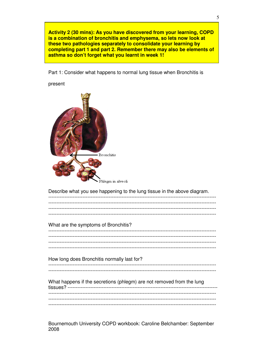Activity 2 (30 mins): As you have discovered from your learning, COPD is a combination of bronchitis and emphysema, so lets now look at these two pathologies separately to consolidate your learning by completing part 1 and part 2. Remember there may also be elements of asthma so don't forget what you learnt in week 1!

Part 1: Consider what happens to normal lung tissue when Bronchitis is

present

| Bronchitis<br>hlegm in alveoli                                           |
|--------------------------------------------------------------------------|
| Describe what you see happening to the lung tissue in the above diagram. |
| What are the symptoms of Bronchitis?                                     |
| . <u>.</u>                                                               |
| How long does Bronchitis normally last for?                              |
| What happens if the secretions (phlegm) are not removed from the lung    |

Bournemouth University COPD workbook: Caroline Belchamber: September 2008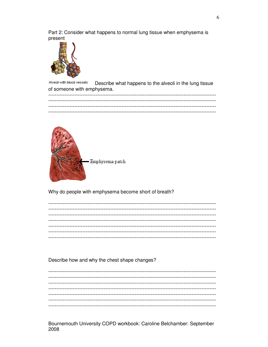Part 2: Consider what happens to normal lung tissue when emphysema is present



Alveoli with blood vessels Describe what happens to the alveoli in the lung tissue of someone with emphysema.



Why do people with emphysema become short of breath?

Describe how and why the chest shape changes?

Bournemouth University COPD workbook: Caroline Belchamber: September 2008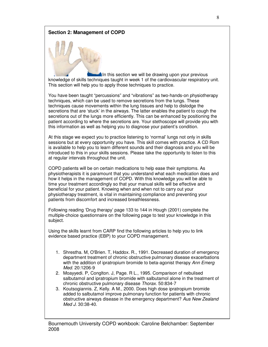# **Section 2: Management of COPD**

In this section we will be drawing upon your previous knowledge of skills techniques taught in week 1 of the cardiovascular respiratory unit. This section will help you to apply those techniques to practice.

You have been taught "percussions" and "vibrations" as two-hands-on physiotherapy techniques, which can be used to remove secretions from the lungs. These techniques cause movements within the lung tissues and help to dislodge the secretions that are 'stuck' in the airways. The latter enables the patient to cough the secretions out of the lungs more efficiently. This can be enhanced by positioning the patient according to where the secretions are. Your stethoscope will provide you with this information as well as helping you to diagnose your patient's condition.

At this stage we expect you to practice listening to 'normal' lungs not only in skills sessions but at every opportunity you have. This skill comes with practice. A CD Rom is available to help you to learn different sounds and their diagnosis and you will be introduced to this in your skills sessions. Please take the opportunity to listen to this at regular intervals throughout the unit.

COPD patients will be on certain medications to help ease their symptoms. As physiotherapists it is paramount that you understand what each medication does and how it helps in the management of COPD. With this knowledge you will be able to time your treatment accordingly so that your manual skills will be effective and beneficial for your patient. Knowing when and when not to carry out your physiotherapy treatment, is vital in maintaining compliance and preventing your patients from discomfort and increased breathlessness.

Following reading 'Drug therapy' page 133 to 144 in Hough (2001) complete the multiple-choice questionnaire on the following page to test your knowledge in this subject.

Using the skills learnt from CARP find the following articles to help you to link evidence based practice (EBP) to your COPD management.

- 1. Shrestha. M, O'Brien. T, Haddox. R., 1991. Decreased duration of emergency department treatment of chronic obstructive pulmonary disease exacerbations with the addition of ipratropium bromide to beta-agonist therapy Ann Emerg Med. 20:1206-9
- 2. Moayyedi. P, Conglton. J, Page. R L., 1995. Comparison of nebulised salbutamol and ipratropium bromide with salbutamol alone in the treatment of chronic obstructive pulmonary disease Thorax. 50:834-7
- 3. Koutsogiannis. Z, Kelly. A M., 2000. Does high dose ipratropium bromide added to salbutamol improve pulmonary function for patients with chronic obstructive airways disease in the emergency department? Aus New Zealand Med J. 30:38-40.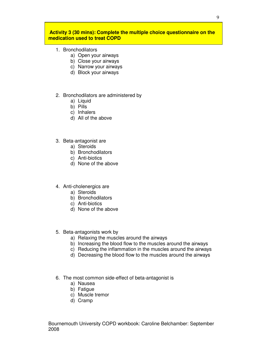# **Activity 3 (30 mins): Complete the multiple choice questionnaire on the medication used to treat COPD**

- 1. Bronchodilators
	- a) Open your airways
	- b) Close your airways
	- c) Narrow your airways
	- d) Block your airways
- 2. Bronchodilators are administered by
	- a) Liquid
	- b) Pills
	- c) Inhalers
	- d) All of the above
- 3. Beta-antagonist are
	- a) Steroids
	- b) Bronchodilators
	- c) Anti-biotics
	- d) None of the above
- 4. Anti-cholenergics are
	- a) Steroids
	- b) Bronchodilators
	- c) Anti-biotics
	- d) None of the above
- 5. Beta-antagonists work by
	- a) Relaxing the muscles around the airways
	- b) Increasing the blood flow to the muscles around the airways
	- c) Reducing the inflammation in the muscles around the airways
	- d) Decreasing the blood flow to the muscles around the airways
- 6. The most common side-effect of beta-antagonist is
	- a) Nausea
	- b) Fatigue
	- c) Muscle tremor
	- d) Cramp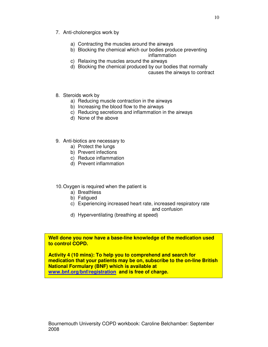- 7. Anti-cholonergics work by
	- a) Contracting the muscles around the airways
	- b) Blocking the chemical which our bodies produce preventing
		- inflammation
	- c) Relaxing the muscles around the airways
	- d) Blocking the chemical produced by our bodies that normally

causes the airways to contract

- 8. Steroids work by
	- a) Reducing muscle contraction in the airways
	- b) Increasing the blood flow to the airways
	- c) Reducing secretions and inflammation in the airways
	- d) None of the above
- 9. Anti-biotics are necessary to
	- a) Protect the lungs
	- b) Prevent infections
	- c) Reduce inflammation
	- d) Prevent inflammation
- 10. Oxygen is required when the patient is
	- a) Breathless
	- b) Fatigued
	- c) Experiencing increased heart rate, increased respiratory rate
		- and confusion
	- d) Hyperventilating (breathing at speed)

**Well done you now have a base-line knowledge of the medication used to control COPD.** 

**Activity 4 (10 mins): To help you to comprehend and search for medication that your patients may be on, subscribe to the on-line British National Formulary (BNF) which is available at www.bnf.org/bnf/registration and is free of charge.**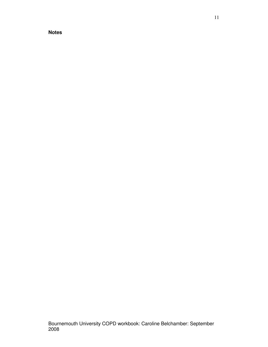11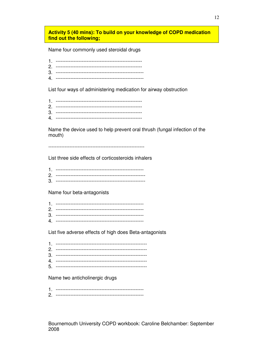# Activity 5 (40 mins): To build on your knowledge of COPD medication find out the following;

Name four commonly used steroidal drugs

List four ways of administering medication for airway obstruction

Name the device used to help prevent oral thrush (fungal infection of the mouth)

List three side effects of corticosteroids inhalers

| r |  |
|---|--|

Name four beta-antagonists

List five adverse effects of high does Beta-antagonists

Name two anticholinergic drugs

| --- |
|-----|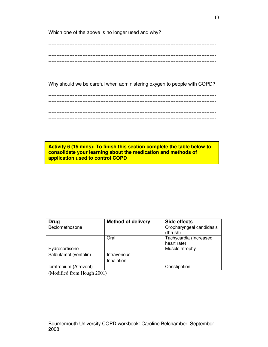Which one of the above is no longer used and why?

Why should we be careful when administering oxygen to people with COPD?

------------------------------------------------------------------------------------------------------- ------------------------------------------------------------------------------------------------------- ------------------------------------------------------------------------------------------------------- ------------------------------------------------------------------------------------------------------- ------------------------------------------------------------------------------------------------------- -------------------------------------------------------------------------------------------------------

**Activity 6 (15 mins): To finish this section complete the table below to consolidate your learning about the medication and methods of application used to control COPD** 

| <b>Drug</b>            | <b>Method of delivery</b> | Side effects                          |
|------------------------|---------------------------|---------------------------------------|
| Beclomethosone         |                           | Oropharyngeal candidasis<br>(thrush)  |
|                        | Oral                      | Tachycardia (Increased<br>heart rate) |
| Hydrocortisone         |                           | Muscle atrophy                        |
| Salbutamol (ventolin)  | Intravenous               |                                       |
|                        | Inhalation                |                                       |
| Ipratropium (Atrovent) |                           | Constipation                          |

(Modified from Hough 2001)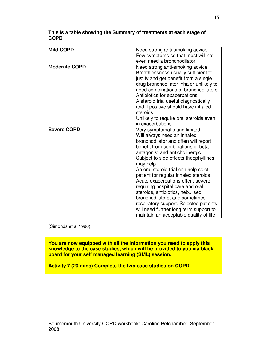| <b>Mild COPD</b>     | Need strong anti-smoking advice<br>Few symptoms so that most will not<br>even need a bronchodilator                                                                                                                                                                                                                                                                                                                                                                                                                                                                                           |
|----------------------|-----------------------------------------------------------------------------------------------------------------------------------------------------------------------------------------------------------------------------------------------------------------------------------------------------------------------------------------------------------------------------------------------------------------------------------------------------------------------------------------------------------------------------------------------------------------------------------------------|
| <b>Moderate COPD</b> | Need strong anti-smoking advice<br>Breathlessness usually sufficient to<br>justify and get benefit from a single<br>drug bronchodilator inhaler-unlikely to<br>need combinations of bronchodilators<br>Antibiotics for exacerbations<br>A steroid trial useful diagnostically<br>and if positive should have inhaled<br>steroids<br>Unlikely to require oral steroids even                                                                                                                                                                                                                    |
|                      | in exacerbations                                                                                                                                                                                                                                                                                                                                                                                                                                                                                                                                                                              |
| <b>Severe COPD</b>   | Very symptomatic and limited<br>Will always need an inhaled<br>bronchodilator and often will report<br>benefit from combinations of beta-<br>antagonist and anticholinergic<br>Subject to side effects-theophyllines<br>may help<br>An oral steroid trial can help selet<br>patient for regular inhaled steroids<br>Acute exacerbations often, severe<br>requiring hospital care and oral<br>steroids, antibiotics, nebulised<br>bronchodilators, and sometimes<br>respiratory support. Selected patients<br>will need further long term support to<br>maintain an acceptable quality of life |

**This is a table showing the Summary of treatments at each stage of COPD** 

(Simonds et al 1996)

**You are now equipped with all the information you need to apply this knowledge to the case studies, which will be provided to you via black board for your self managed learning (SML) session.** 

**Activity 7 (20 mins) Complete the two case studies on COPD**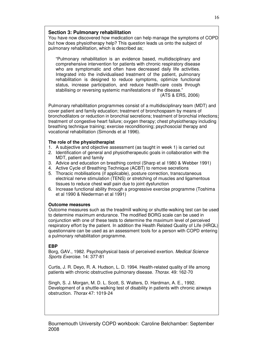# **Section 3: Pulmonary rehabilitation**

You have now discovered how medication can help manage the symptoms of COPD but how does physiotherapy help? This question leads us onto the subject of pulmonary rehabilitation, which is described as;

"Pulmonary rehabilitation is an evidence based, multidisciplinary and comprehensive intervention for patients with chronic respiratory disease who are symptomatic and often have decreased daily life activities. Integrated into the individualised treatment of the patient, pulmonary rehabilitation is designed to reduce symptoms, optimize functional status, increase participation, and reduce health-care costs through stabilising or reversing systemic manifestations of the disease."

(ATS & ERS, 2006)

Pulmonary rehabilitation programmes consist of a multidisciplinary team (MDT) and cover patient and family education; treatment of bronchospasm by means of bronchodilators or reduction in bronchial secretions; treatment of bronchial infections; treatment of congestive heart failure; oxygen therapy; chest physiotherapy including breathing technique training; exercise reconditioning; psychosocial therapy and vocational rehabilitation (Simonds et al 1996).

# **The role of the physiotherapist**

- 1. A subjective and objective assessment (as taught in week 1) is carried out
- 2. Identification of general and physiotherapeutic goals in collaboration with the MDT, patient and family
- 3. Advice and education on breathing control (Sharp et al 1980 & Webber 1991)
- 4. Active Cycle of Breathing Technique (ACBT) to remove secretions
- 5. Thoracic mobilisations (if applicable), posture correction, transcutaneous electrical nerve stimulation (TENS) or stretching of muscles and ligamentous tissues to reduce chest wall pain due to joint dysfunction
- 6. Increase functional ability through a progressive exercise programme (Toshima et al 1990 & Niederman et al 1991)

# **Outcome measures**

Outcome measures such as the treadmill walking or shuttle-walking test can be used to determine maximum endurance. The modified BORG scale can be used in conjunction with one of these tests to determine the maximum level of perceived respiratory effort by the patient. In addition the Health Related Quality of Life (HRQL) questionnaire can be used as an assessment tools for a person with COPD entering a pulmonary rehabilitation programme.

# **EBP**

Borg, GAV., 1982. Psychophysical basis of perceived exertion. Medical Science Sports Exercise. 14: 377-81

Curtis, J. R. Deyo, R. A. Hudson, L. D. 1994. Health-related quality of life among patients with chronic obstructive pulmonary disease. Thorax. 49: 162-70

Singh, S. J. Morgan, M. D. L. Scott, S. Walters, D. Hardman, A. E., 1992. Development of a shuttle-walking test of disability in patients with chronic airways obstruction. Thorax 47: 1019-24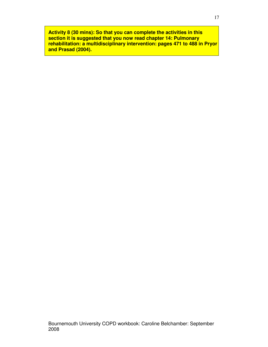**Activity 8 (30 mins): So that you can complete the activities in this section it is suggested that you now read chapter 14: Pulmonary rehabilitation: a multidisciplinary intervention: pages 471 to 488 in Pryor and Prasad (2004).**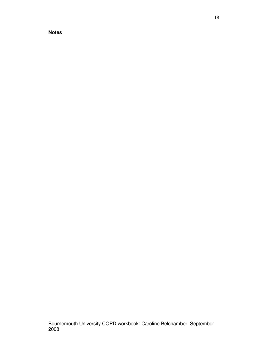18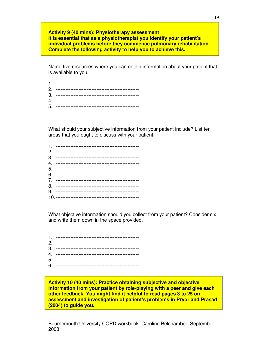**Activity 9 (40 mins): Physiotherapy assessment It is essential that as a physiotherapist you identify your patient's individual problems before they commence pulmonary rehabilitation. Complete the following activity to help you to achieve this.** 

Name five resources where you can obtain information about your patient that is available to you.

What should your subjective information from your patient include? List ten areas that you ought to discuss with your patient.

What objective information should you collect from your patient? Consider six and write them down in the space provided.

**Activity 10 (40 mins): Practice obtaining subjective and objective information from your patient by role-playing with a peer and give each other feedback. You might find it helpful to read pages 3 to 25 on assessment and investigation of patient's problems in Pryor and Prasad (2004) to guide you.**

Bournemouth University COPD workbook: Caroline Belchamber: September 2008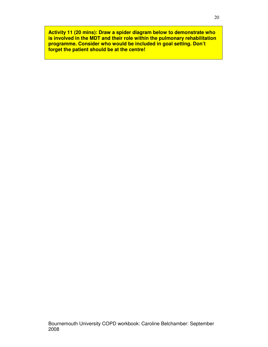**Activity 11 (20 mins): Draw a spider diagram below to demonstrate who is involved in the MDT and their role within the pulmonary rehabilitation programme. Consider who would be included in goal setting. Don't forget the patient should be at the centre!**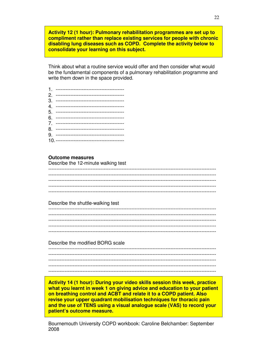**Activity 12 (1 hour): Pulmonary rehabilitation programmes are set up to compliment rather than replace existing services for people with chronic disabling lung diseases such as COPD. Complete the activity below to consolidate your learning on this subject.** 

Think about what a routine service would offer and then consider what would be the fundamental components of a pulmonary rehabilitation programme and write them down in the space provided.

#### **Outcome measures**

Describe the 12-minute walking test

#### Describe the shuttle-walking test

------------------------------------------------------------------------------------------------------- ------------------------------------------------------------------------------------------------------- ------------------------------------------------------------------------------------------------------- ------------------------------------------------------------------------------------------------------- -------------------------------------------------------------------------------------------------------

Describe the modified BORG scale

------------------------------------------------------------------------------------------------------- ------------------------------------------------------------------------------------------------------- ------------------------------------------------------------------------------------------------------- ------------------------------------------------------------------------------------------------------- -------------------------------------------------------------------------------------------------------

**Activity 14 (1 hour): During your video skills session this week, practice what you learnt in week 1 on giving advice and education to your patient on breathing control and ACBT and relate it to a COPD patient. Also revise your upper quadrant mobilisation techniques for thoracic pain and the use of TENS using a visual analogue scale (VAS) to record your patient's outcome measure.**

Bournemouth University COPD workbook: Caroline Belchamber: September 2008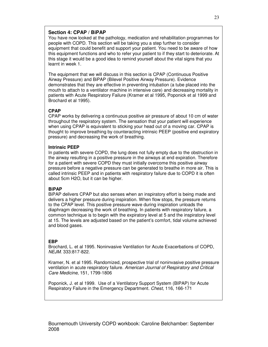# **Section 4: CPAP / BiPAP**

You have now looked at the pathology, medication and rehabilitation programmes for people with COPD. This section will be taking you a step further to consider equipment that could benefit and support your patient. You need to be aware of how this equipment functions and who to refer your patient to if they start to deteriorate. At this stage it would be a good idea to remind yourself about the vital signs that you learnt in week 1.

The equipment that we will discuss in this section is CPAP (Continuous Positive Airway Pressure) and BiPAP (Bilevel Positive Airway Pressure). Evidence demonstrates that they are effective in preventing intubation (a tube placed into the mouth to attach to a ventilator machine in intensive care) and decreasing mortality in patients with Acute Respiratory Failure (Kramer et al 1995, Poponick et al 1999 and Brochard et al 1995).

# **CPAP**

CPAP works by delivering a continuous positive air pressure of about 10 cm of water throughout the respiratory system. The sensation that your patient will experience when using CPAP is equivalent to sticking your head out of a moving car. CPAP is thought to improve breathing by counteracting intrinsic PEEP (positive end expiratory pressure) and decreasing the work of breathing.

### **Intrinsic PEEP**

In patients with severe COPD, the lung does not fully empty due to the obstruction in the airway resulting in a positive pressure in the airways at end expiration. Therefore for a patient with severe COPD they must initially overcome this positive airway pressure before a negative pressure can be generated to breathe in more air. This is called intrinsic PEEP and in patients with respiratory failure due to COPD it is often about 5cm H2O, but it can be higher.

### **BiPAP**

BiPAP delivers CPAP but also senses when an inspiratory effort is being made and delivers a higher pressure during inspiration. When flow stops, the pressure returns to the CPAP level. This positive pressure wave during inspiration unloads the diaphragm decreasing the work of breathing. In patients with respiratory failure, a common technique is to begin with the expiratory level at 5 and the inspiratory level at 15. The levels are adjusted based on the patient's comfort, tidal volume achieved and blood gases.

### **EBP**

Brochard, L. et al 1995. Noninvasive Ventilation for Acute Exacerbations of COPD, NEJM. 333:817-822.

Kramer, N. et al 1995. Randomized, prospective trial of noninvasive positive pressure ventilation in acute respiratory failure. American Journal of Respiratory and Critical Care Medicine, 151, 1799-1806

Poponick, J. et al 1999. Use of a Ventilatory Support System (BIPAP) for Acute Respiratory Failure in the Emergency Department. Chest, 116, 166-171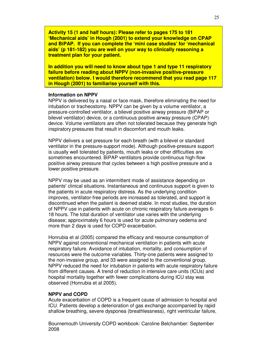**Activity 15 (1 and half hours): Please refer to pages 175 to 181 'Mechanical aids' in Hough (2001) to extend your knowledge on CPAP and BiPAP. If you can complete the 'mini case studies' for 'mechanical aids' (p 181-182) you are well on your way to clinically reasoning a treatment plan for your patient.** 

**In addition you will need to know about type 1 and type 11 respiratory failure before reading about NPPV (non-invasive positive-pressure ventilation) below. I would therefore recommend that you read page 117 in Hough (2001) to familiarise yourself with this.** 

#### **Information on NPPV**

NPPV is delivered by a nasal or face mask, therefore eliminating the need for intubation or tracheostomy. NPPV can be given by a volume ventilator, a pressure-controlled ventilator, a bilevel positive airway pressure (BiPAP or bilevel ventilator) device, or a continuous positive airway pressure (CPAP) device. Volume ventilators are often not tolerated because they generate high inspiratory pressures that result in discomfort and mouth leaks.

NPPV delivers a set pressure for each breath (with a bilevel or standard ventilator in the pressure-support mode). Although positive-pressure support is usually well tolerated by patients, mouth leaks or other difficulties are sometimes encountered. BiPAP ventilators provide continuous high-flow positive airway pressure that cycles between a high positive pressure and a lower positive pressure.

NPPV may be used as an intermittent mode of assistance depending on patients' clinical situations. Instantaneous and continuous support is given to the patients in acute respiratory distress. As the underlying condition improves, ventilator-free periods are increased as tolerated, and support is discontinued when the patient is deemed stable. In most studies, the duration of NPPV use in patients with acute on chronic respiratory failure averages 6- 18 hours. The total duration of ventilator use varies with the underlying disease; approximately 6 hours is used for acute pulmonary oedema and more than 2 days is used for COPD exacerbation.

Honrubia et al (2005) compared the efficacy and resource consumption of NPPV against conventional mechanical ventilation in patients with acute respiratory failure. Avoidance of intubation, mortality, and consumption of resources were the outcome variables. Thirty-one patients were assigned to the non-invasive group, and 33 were assigned to the conventional group. NPPV reduced the need for intubation in patients with acute respiratory failure from different causes. A trend of reduction in intensive care units (ICUs) and hospital mortality together with fewer complications during ICU stay was observed (Honrubia et al 2005).

### **NPPV and COPD**

Acute exacerbation of COPD is a frequent cause of admission to hospital and ICU. Patients develop a deterioration of gas exchange accompanied by rapid shallow breathing, severe dysponea (breathlessness), right ventricular failure,

Bournemouth University COPD workbook: Caroline Belchamber: September 2008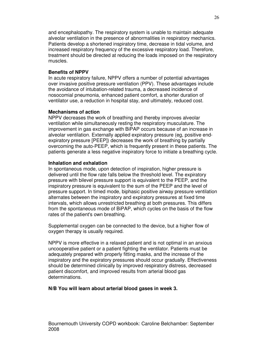and encephalopathy. The respiratory system is unable to maintain adequate alveolar ventilation in the presence of abnormalities in respiratory mechanics. Patients develop a shortened inspiratory time, decrease in tidal volume, and increased respiratory frequency of the excessive respiratory load. Therefore, treatment should be directed at reducing the loads imposed on the respiratory muscles.

# **Benefits of NPPV**

In acute respiratory failure, NPPV offers a number of potential advantages over invasive positive pressure ventilation (PPV). These advantages include the avoidance of intubation-related trauma, a decreased incidence of nosocomial pneumonia, enhanced patient comfort, a shorter duration of ventilator use, a reduction in hospital stay, and ultimately, reduced cost.

# **Mechanisms of action**

NPPV decreases the work of breathing and thereby improves alveolar ventilation while simultaneously resting the respiratory musculature. The improvement in gas exchange with BiPAP occurs because of an increase in alveolar ventilation. Externally applied expiratory pressure (eg, positive endexpiratory pressure [PEEP]) decreases the work of breathing by partially overcoming the auto-PEEP, which is frequently present in these patients. The patients generate a less negative inspiratory force to initiate a breathing cycle.

# **Inhalation and exhalation**

In spontaneous mode, upon detection of inspiration, higher pressure is delivered until the flow rate falls below the threshold level. The expiratory pressure with bilevel pressure support is equivalent to the PEEP, and the inspiratory pressure is equivalent to the sum of the PEEP and the level of pressure support. In timed mode, biphasic positive airway pressure ventilation alternates between the inspiratory and expiratory pressures at fixed time intervals, which allows unrestricted breathing at both pressures. This differs from the spontaneous mode of BiPAP, which cycles on the basis of the flow rates of the patient's own breathing.

Supplemental oxygen can be connected to the device, but a higher flow of oxygen therapy is usually required.

NPPV is more effective in a relaxed patient and is not optimal in an anxious uncooperative patient or a patient fighting the ventilator. Patients must be adequately prepared with properly fitting masks, and the increase of the inspiratory and the expiratory pressures should occur gradually. Effectiveness should be determined clinically by improved respiratory distress, decreased patient discomfort, and improved results from arterial blood gas determinations.

# **N/B You will learn about arterial blood gases in week 3.**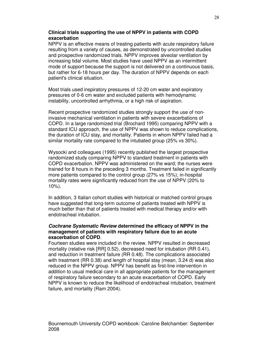# **Clinical trials supporting the use of NPPV in patients with COPD exacerbation**

NPPV is an effective means of treating patients with acute respiratory failure resulting from a variety of causes, as demonstrated by uncontrolled studies and prospective randomized trials. NPPV improves alveolar ventilation by increasing tidal volume. Most studies have used NPPV as an intermittent mode of support because the support is not delivered on a continuous basis, but rather for 6-18 hours per day. The duration of NPPV depends on each patient's clinical situation.

Most trials used inspiratory pressures of 12-20 cm water and expiratory pressures of 0-6 cm water and excluded patients with hemodynamic instability, uncontrolled arrhythmia, or a high risk of aspiration.

Recent prospective randomized studies strongly support the use of noninvasive mechanical ventilation in patients with severe exacerbations of COPD. In a large randomized trial (Brochard 1995) comparing NPPV with a standard ICU approach, the use of NPPV was shown to reduce complications, the duration of ICU stay, and mortality. Patients in whom NPPV failed had a similar mortality rate compared to the intubated group (25% vs 30%).

Wysocki and colleagues (1995) recently published the largest prospective randomized study comparing NPPV to standard treatment in patients with COPD exacerbation. NPPV was administered on the ward; the nurses were trained for 8 hours in the preceding 3 months. Treatment failed in significantly more patients compared to the control group (27% vs 15%); in-hospital mortality rates were significantly reduced from the use of NPPV (20% to  $10\%$ ).

In addition, 3 Italian cohort studies with historical or matched control groups have suggested that long-term outcome of patients treated with NPPV is much better than that of patients treated with medical therapy and/or with endotracheal intubation.

### **Cochrane Systematic Review determined the efficacy of NPPV in the management of patients with respiratory failure due to an acute exacerbation of COPD**.

Fourteen studies were included in the review. NPPV resulted in decreased mortality (relative risk [RR] 0.52), decreased need for intubation (RR 0.41), and reduction in treatment failure (RR 0.48). The complications associated with treatment (RR 0.38) and length of hospital stay (mean, 3.24 d) was also reduced in the NPPV group. NPPV has benefit as first-line intervention in addition to usual medical care in all appropriate patients for the management of respiratory failure secondary to an acute exacerbation of COPD. Early NPPV is known to reduce the likelihood of endotracheal intubation, treatment failure, and mortality (Ram 2004).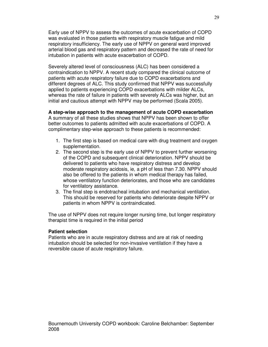Early use of NPPV to assess the outcomes of acute exacerbation of COPD was evaluated in those patients with respiratory muscle fatigue and mild respiratory insufficiency. The early use of NPPV on general ward improved arterial blood gas and respiratory pattern and decreased the rate of need for intubation in patients with acute exacerbation of COPD.

Severely altered level of consciousness (ALC) has been considered a contraindication to NPPV. A recent study compared the clinical outcome of patients with acute respiratory failure due to COPD exacerbations and different degrees of ALC. This study confirmed that NPPV was successfully applied to patients experiencing COPD exacerbations with milder ALCs, whereas the rate of failure in patients with severely ALCs was higher, but an initial and cautious attempt with NPPV may be performed (Scala 2005).

### **A step-wise approach to the management of acute COPD exacerbation**

A summary of all these studies shows that NPPV has been shown to offer better outcomes to patients admitted with acute exacerbations of COPD. A complimentary step-wise approach to these patients is recommended:

- 1. The first step is based on medical care with drug treatment and oxygen supplementation.
- 2. The second step is the early use of NPPV to prevent further worsening of the COPD and subsequent clinical deterioration. NPPV should be delivered to patients who have respiratory distress and develop moderate respiratory acidosis, ie, a pH of less than 7.30. NPPV should also be offered to the patients in whom medical therapy has failed, whose ventilatory function deteriorates, and those who are candidates for ventilatory assistance.
- 3. The final step is endotracheal intubation and mechanical ventilation. This should be reserved for patients who deteriorate despite NPPV or patients in whom NPPV is contraindicated.

The use of NPPV does not require longer nursing time, but longer respiratory therapist time is required in the initial period

### **Patient selection**

Patients who are in acute respiratory distress and are at risk of needing intubation should be selected for non-invasive ventilation if they have a reversible cause of acute respiratory failure.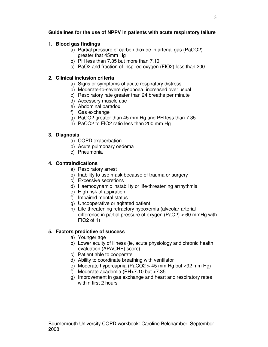# **Guidelines for the use of NPPV in patients with acute respiratory failure**

# **1. Blood gas findings**

- a) Partial pressure of carbon dioxide in arterial gas (PaCO2) greater that 45mm Hg
- b) PH less than 7.35 but more than 7.10
- c) PaO2 and fraction of inspired oxygen (FIO2) less than 200

# **2. Clinical inclusion criteria**

- a) Signs or symptoms of acute respiratory distress
- b) Moderate-to-severe dyspnoea, increased over usual
- c) Respiratory rate greater than 24 breaths per minute
- d) Accessory muscle use
- e) Abdominal paradox
- f) Gas exchange
- g) PaCO2 greater than 45 mm Hg and PH less than 7.35
- h) PaCO2 to FIO2 ratio less than 200 mm Hg

# **3. Diagnosis**

- a) COPD exacerbation
- b) Acute pulmonary oedema
- c) Pneumonia

# **4. Contraindications**

- a) Respiratory arrest
- b) Inability to use mask because of trauma or surgery
- c) Excessive secretions
- d) Haemodynamic instability or life-threatening arrhythmia
- e) High risk of aspiration
- f) Impaired mental status
- g) Uncooperative or agitated patient
- h) Life-threatening refractory hypoxemia (alveolar-arterial difference in partial pressure of oxygen (PaO2) < 60 mmHg with FIO2 of 1)

# **5. Factors predictive of success**

- a) Younger age
- b) Lower acuity of illness (ie, acute physiology and chronic health evaluation (APACHE) score)
- c) Patient able to cooperate
- d) Ability to coordinate breathing with ventilator
- e) Moderate hypercapnia (PaCO2 > 45 mm Hg but <92 mm Hg)
- f) Moderate academia (PH>7.10 but <7.35
- g) Improvement in gas exchange and heart and respiratory rates within first 2 hours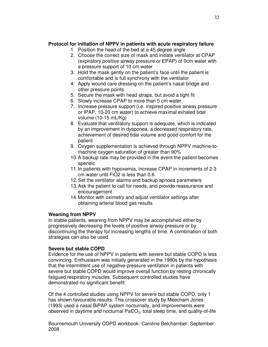# **Protocol for initiation of NPPV in patients with acute respiratory failure**

- 1. Position the head of the bed at a 45 degree angle
- 2. Choose the correct size of mask and initiate ventilator at CPAP (expiratory positive airway pressure or EPAP) of 0cm water with a pressure support of 10 cm water
- 3. Hold the mask gently on the patient's face until the patient is comfortable and is full synchrony with the ventilator
- 4. Apply wound care dressing on the patient's nasal bridge and other pressure points
- 5. Secure the mask with head straps, but avoid a tight fit
- 6. Slowly increase CPAP to more than 5 cm water
- 7. Increase pressure support (i.e. inspired positive airway pressure or IPAP, 10-20 cm water) to achieve maximal exhaled tidal volume (10-15 mL/Kg)
- 8. Evaluate that ventilatory support is adequate, which is indicated by an improvement in dysponea, a decreased respiratory rate, achievement of desired tidal volume and good comfort for the patient
- 9. Oxygen supplementation is achieved through NPPV machine-tomachine oxygen saturation of greater than 90%
- 10. A backup rate may be provided in the event the patient becomes apeneic
- 11. In patients with hypoxemia, increase CPAP in increments of 2-3 cm water until FiO2 is less than 0.6
- 12. Set the ventilator alarms and backup apnoea parameters
- 13. Ask the patient to call for needs, and provide reassurance and encouragement
- 14. Monitor with oximetry and adjust ventilator settings after obtaining arterial blood gas results

# **Weaning from NPPV**

In stable patients, weaning from NPPV may be accomplished either by progressively decreasing the levels of positive airway pressure or by discontinuing the therapy for increasing lengths of time. A combination of both strategies can also be used.

# **Severe but stable COPD**

Evidence for the use of NPPV in patients with severe but stable COPD is less convincing. Enthusiasm was initially generated in the 1980s by the hypothesis that the intermittent use of negative-pressure ventilation in patients with severe but stable COPD would improve overall function by resting chronically fatigued respiratory muscles. Subsequent controlled studies have demonstrated no significant benefit.

Of the 4 controlled studies using NPPV for severe but stable COPD, only 1 has shown favourable results. This crossover study by Meecham Jones (1993) used a nasal BiPAP system nocturnally, and improvements were observed in daytime and nocturnal  $PACO<sub>2</sub>$ , total sleep time, and quality-of-life

Bournemouth University COPD workbook: Caroline Belchamber: September 2008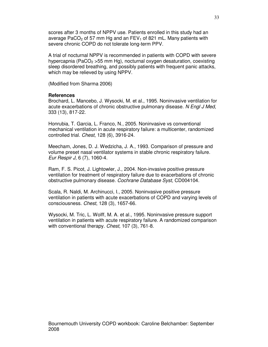scores after 3 months of NPPV use. Patients enrolled in this study had an average PaCO<sub>2</sub> of 57 mm Hg and an  $FEV<sub>1</sub>$  of 821 mL. Many patients with severe chronic COPD do not tolerate long-term PPV.

A trial of nocturnal NPPV is recommended in patients with COPD with severe hypercapnia (PaCO<sub>2</sub>  $>$ 55 mm Hg), nocturnal oxygen desaturation, coexisting sleep disordered breathing, and possibly patients with frequent panic attacks, which may be relieved by using NPPV.

(Modified from Sharma 2006)

### **References**

Brochard, L. Mancebo, J. Wysocki, M. et al., 1995. Noninvasive ventilation for acute exacerbations of chronic obstructive pulmonary disease. N Engl J Med, 333 (13), 817-22.

Honrubia, T. Garcia, L. Franco, N., 2005. Noninvasive vs conventional mechanical ventilation in acute respiratory failure: a multicenter, randomized controlled trial. Chest, 128 (6), 3916-24.

Meecham, Jones, D. J. Wedzicha, J. A., 1993. Comparison of pressure and volume preset nasal ventilator systems in stable chronic respiratory failure. Eur Respir J, 6 (7), 1060-4.

Ram, F. S. Picot, J. Lightowler, J., 2004. Non-invasive positive pressure ventilation for treatment of respiratory failure due to exacerbations of chronic obstructive pulmonary disease. Cochrane Database Syst, CD004104.

Scala, R. Naldi, M. Archinucci, I., 2005. Noninvasive positive pressure ventilation in patients with acute exacerbations of COPD and varying levels of consciousness. Chest, 128 (3), 1657-66.

Wysocki, M. Tric, L. Wolff, M. A. et al., 1995. Noninvasive pressure support ventilation in patients with acute respiratory failure. A randomized comparison with conventional therapy. Chest, 107 (3), 761-8.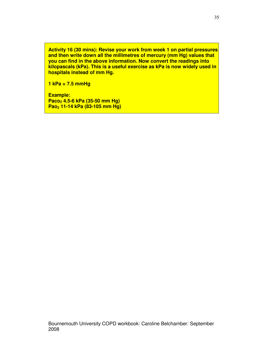**Activity 16 (30 mins): Revise your work from week 1 on partial pressures and then write down all the millimetres of mercury (mm Hg) values that you can find in the above information. Now convert the readings into kilopascals (kPa). This is a useful exercise as kPa is now widely used in hospitals instead of mm Hg.** 

**1 kPa = 7.5 mmHg** 

**Example: Paco2 4.5-6 kPa (35-50 mm Hg) Pao2 11-14 kPa (83-105 mm Hg)**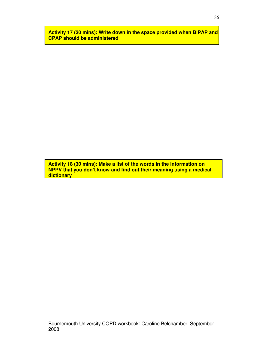**Activity 17 (20 mins): Write down in the space provided when BiPAP and CPAP should be administered** 

**Activity 18 (30 mins): Make a list of the words in the information on NPPV that you don't know and find out their meaning using a medical dictionary**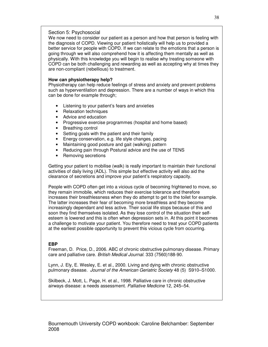### Section 5: Psychosocial

We now need to consider our patient as a person and how that person is feeling with the diagnosis of COPD. Viewing our patient holistically will help us to provided a better service for people with COPD. If we can relate to the emotions that a person is going through we will also comprehend how it is affecting them mentally as well as physically. With this knowledge you will begin to realise why treating someone with COPD can be both challenging and rewarding as well as accepting why at times they are non-compliant (rebellious) to treatment.

### **How can physiotherapy help?**

Physiotherapy can help reduce feelings of stress and anxiety and prevent problems such as hyperventilation and depression. There are a number of ways in which this can be done for example through;

- Listening to your patient's fears and anxieties
- Relaxation techniques
- Advice and education
- Progressive exercise programmes (hospital and home based)
- Breathing control
- Setting goals with the patient and their family
- Energy conservation, e.g. life style changes, pacing
- Maintaining good posture and gait (walking) pattern
- Reducing pain through Postural advice and the use of TENS
- Removing secretions

Getting your patient to mobilise (walk) is really important to maintain their functional activities of daily living (ADL). This simple but effective activity will also aid the clearance of secretions and improve your patient's respiratory capacity.

People with COPD often get into a vicious cycle of becoming frightened to move, so they remain immobile, which reduces their exercise tolerance and therefore increases their breathlessness when they do attempt to get to the toilet for example. The latter increases their fear of becoming more breathless and they become increasingly dependant and less active. Their social life stops because of this and soon they find themselves isolated. As they lose control of the situation their selfesteem is lowered and this is often when depression sets in. At this point it becomes a challenge to motivate your patient. You therefore need to treat your COPD patients at the earliest possible opportunity to prevent this vicious cycle from occurring.

### **EBP**

Freeman, D. Price, D., 2006. ABC of chronic obstructive pulmonary disease. Primary care and palliative care. British Medical Journal. 333 (7560)188-90.

Lynn, J. Ely, E. Wesley, E. et al., 2000. Living and dying with chronic obstructive pulmonary disease. Journal of the American Geriatric Society 48 (5) S910–S1000.

Skilbeck, J. Mott, L. Page, H. et al., 1998. Palliative care in chronic obstructive airways disease: a needs assessment. Palliative Medicine 12, 245–54.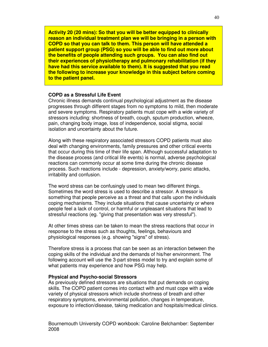**Activity 20 (20 mins): So that you will be better equipped to clinically reason an individual treatment plan we will be bringing in a person with COPD so that you can talk to them. This person will have attended a patient support group (PSG) so you will be able to find out more about the benefits of people attending such groups. You can also find out their experiences of physiotherapy and pulmonary rehabilitation (if they have had this service available to them). It is suggested that you read the following to increase your knowledge in this subject before coming to the patient panel.** 

### **COPD as a Stressful Life Event**

Chronic illness demands continual psychological adjustment as the disease progresses through different stages from no symptoms to mild, then moderate and severe symptoms. Respiratory patients must cope with a wide variety of stressors including: shortness of breath, cough, sputum production, wheeze, pain, changing body image, loss of independence, social stigma, social isolation and uncertainty about the future.

Along with these respiratory associated stressors COPD patients must also deal with changing environments, family pressures and other critical events that occur during this time of their life span. Although successful adaptation to the disease process (and critical life events) is normal, adverse psychological reactions can commonly occur at some time during the chronic disease process. Such reactions include - depression, anxiety/worry, panic attacks, irritability and confusion.

The word stress can be confusingly used to mean two different things. Sometimes the word stress is used to describe a stressor. A stressor is something that people perceive as a threat and that calls upon the individuals coping mechanisms. They include situations that cause uncertainty or where people feel a lack of control, or harmful or unpleasant situations that lead to stressful reactions (eg. "giving that presentation was very stressful").

At other times stress can be taken to mean the stress reactions that occur in response to the stress such as thoughts, feelings, behaviours and physiological responses (e.g. showing "signs" of stress).

Therefore stress is a process that can be seen as an interaction between the coping skills of the individual and the demands of his/her environment. The following account will use the 3-part stress model to try and explain some of what patients may experience and how PSG may help.

### **Physical and Psycho-social Stressors**

As previously defined stressors are situations that put demands on coping skills. The COPD patient comes into contact with and must cope with a wide variety of physical stressors which include shortness of breath and other respiratory symptoms, environmental pollution, changes in temperature, exposure to infection/disease, taking medication and hospitals/medical clinics.

Bournemouth University COPD workbook: Caroline Belchamber: September 2008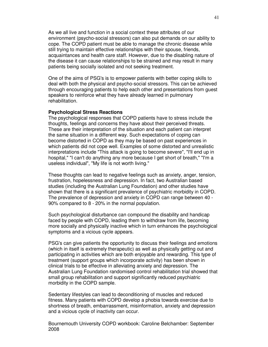As we all live and function in a social context these attributes of our environment (psycho-social stressors) can also put demands on our ability to cope. The COPD patient must be able to manage the chronic disease while still trying to maintain effective relationships with their spouse, friends, acquaintances and health care staff. However, due to the disabling nature of the disease it can cause relationships to be strained and may result in many patients being socially isolated and not seeking treatment.

One of the aims of PSG's is to empower patients with better coping skills to deal with both the physical and psycho-social stressors. This can be achieved through encouraging patients to help each other and presentations from guest speakers to reinforce what they have already learned in pulmonary rehabilitation.

#### **Psychological Stress Reactions**

The psychological responses that COPD patients have to stress include the thoughts, feelings and concerns they have about their perceived threats. These are their interpretation of the situation and each patient can interpret the same situation in a different way. Such expectations of coping can become distorted in COPD as they may be based on past experiences in which patients did not cope well. Examples of some distorted and unrealistic interpretations include "This attack is going to become severe", "I'll end up in hospital," "I can't do anything any more because I get short of breath," "I'm a useless individual", "My life is not worth living."

These thoughts can lead to negative feelings such as anxiety, anger, tension, frustration, hopelessness and depression. In fact, two Australian based studies (including the Australian Lung Foundation) and other studies have shown that there is a significant prevalence of psychiatric morbidity in COPD. The prevalence of depression and anxiety in COPD can range between 40 - 90% compared to 8 - 20% in the normal population.

Such psychological disturbance can compound the disability and handicap faced by people with COPD, leading them to withdraw from life, becoming more socially and physically inactive which in turn enhances the psychological symptoms and a vicious cycle appears.

PSG's can give patients the opportunity to discuss their feelings and emotions (which in itself is extremely therapeutic) as well as physically getting out and participating in activities which are both enjoyable and rewarding. This type of treatment (support groups which incorporate activity) has been shown in clinical trials to be effective in alleviating anxiety and depression. The Australian Lung Foundation randomised control rehabilitation trial showed that small group rehabilitation and support significantly reduced psychiatric morbidity in the COPD sample.

Sedentary lifestyles can lead to deconditioning of muscles and reduced fitness. Many patients with COPD develop a phobia towards exercise due to shortness of breath, embarrassment, misinformation, anxiety and depression and a vicious cycle of inactivity can occur.

Bournemouth University COPD workbook: Caroline Belchamber: September 2008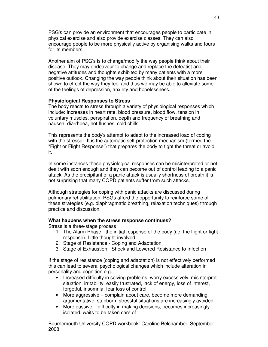PSG's can provide an environment that encourages people to participate in physical exercise and also provide exercise classes. They can also encourage people to be more physically active by organising walks and tours for its members.

Another aim of PSG's is to change/modify the way people think about their disease. They may endeavour to change and replace the defeatist and negative attitudes and thoughts exhibited by many patients with a more positive outlook. Changing the way people think about their situation has been shown to effect the way they feel and thus we may be able to alleviate some of the feelings of depression, anxiety and hopelessness.

### **Physiological Responses to Stress**

The body reacts to stress through a variety of physiological responses which include: Increases in heart rate, blood pressure, blood flow, tension in voluntary muscles, perspiration, depth and frequency of breathing and nausea, diarrhoea, hot flushes, cold chills.

This represents the body's attempt to adapt to the increased load of coping with the stressor. It is the automatic self-protection mechanism (termed the "Fight or Flight Response") that prepares the body to fight the threat or avoid it.

In some instances these physiological responses can be misinterpreted or not dealt with soon enough and they can become out of control leading to a panic attack. As the precipitant of a panic attack is usually shortness of breath it is not surprising that many COPD patients suffer from such attacks.

Although strategies for coping with panic attacks are discussed during pulmonary rehabilitation, PSGs afford the opportunity to reinforce some of these strategies (e.g. diaphragmatic breathing, relaxation techniques) through practice and discussion.

# **What happens when the stress response continues?**

Stress is a three-stage process

- 1. The Alarm Phase the initial response of the body (i.e. the flight or fight response). Little thought involved
- 2. Stage of Resistance Coping and Adaptation
- 3. Stage of Exhaustion Shock and Lowered Resistance to Infection

If the stage of resistance (coping and adaptation) is not effectively performed this can lead to several psychological changes which include alteration in personality and cognition e.g.

- Increased difficulty in solving problems, worry excessively, misinterpret situation, irritability, easily frustrated, lack of energy, loss of interest, forgetful, insomnia, fear loss of control
- More aggressive complain about care, become more demanding, argumentative, stubborn, stressful situations are increasingly avoided
- More passive difficulty in making decisions, becomes increasingly isolated, waits to be taken care of

Bournemouth University COPD workbook: Caroline Belchamber: September 2008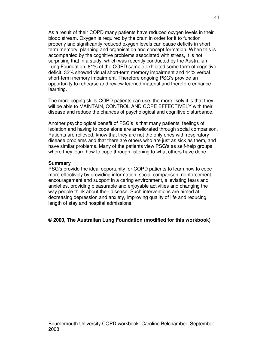As a result of their COPD many patients have reduced oxygen levels in their blood stream. Oxygen is required by the brain in order for it to function properly and significantly reduced oxygen levels can cause deficits in short term memory, planning and organisation and concept formation. When this is accompanied by the cognitive problems associated with stress, it is not surprising that in a study, which was recently conducted by the Australian Lung Foundation, 81% of the COPD sample exhibited some form of cognitive deficit. 33% showed visual short-term memory impairment and 44% verbal short-term memory impairment. Therefore ongoing PSG's provide an opportunity to rehearse and review learned material and therefore enhance learning.

The more coping skills COPD patients can use, the more likely it is that they will be able to MAINTAIN, CONTROL AND COPE EFFECTIVELY with their disease and reduce the chances of psychological and cognitive disturbance.

Another psychological benefit of PSG's is that many patients' feelings of isolation and having to cope alone are ameliorated through social comparison. Patients are relieved, know that they are not the only ones with respiratory disease problems and that there are others who are just as sick as them, and have similar problems. Many of the patients view PSG's as self-help groups where they learn how to cope through listening to what others have done.

#### **Summary**

PSG's provide the ideal opportunity for COPD patients to learn how to cope more effectively by providing information, social comparison, reinforcement, encouragement and support in a caring environment, alleviating fears and anxieties, providing pleasurable and enjoyable activities and changing the way people think about their disease. Such interventions are aimed at decreasing depression and anxiety, improving quality of life and reducing length of stay and hospital admissions.

**© 2000, The Australian Lung Foundation (modified for this workbook)**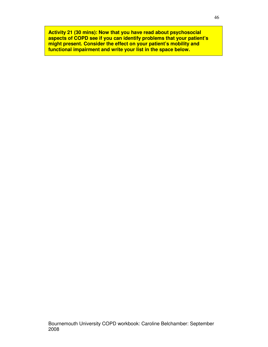**Activity 21 (30 mins): Now that you have read about psychosocial aspects of COPD see if you can identify problems that your patient's might present. Consider the effect on your patient's mobility and functional impairment and write your list in the space below.**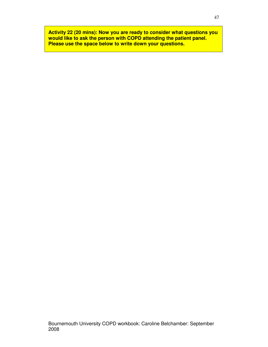**Activity 22 (20 mins): Now you are ready to consider what questions you would like to ask the person with COPD attending the patient panel. Please use the space below to write down your questions.**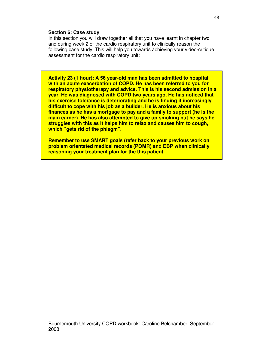### **Section 6: Case study**

In this section you will draw together all that you have learnt in chapter two and during week 2 of the cardio respiratory unit to clinically reason the following case study. This will help you towards achieving your video-critique assessment for the cardio respiratory unit;

**Activity 23 (1 hour): A 56 year-old man has been admitted to hospital with an acute exacerbation of COPD. He has been referred to you for respiratory physiotherapy and advice. This is his second admission in a year. He was diagnosed with COPD two years ago. He has noticed that his exercise tolerance is deteriorating and he is finding it increasingly difficult to cope with his job as a builder. He is anxious about his finances as he has a mortgage to pay and a family to support (he is the main earner). He has also attempted to give up smoking but he says he struggles with this as it helps him to relax and causes him to cough, which "gets rid of the phlegm".** 

**Remember to use SMART goals (refer back to your previous work on problem orientated medical records (POMR) and EBP when clinically reasoning your treatment plan for the this patient.**